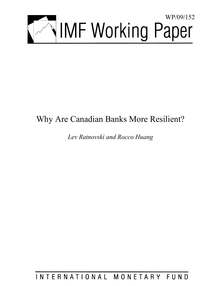

# Why Are Canadian Banks More Resilient?

*Lev Ratnovski and Rocco Huang* 

INTERNATIONAL MONETARY FUND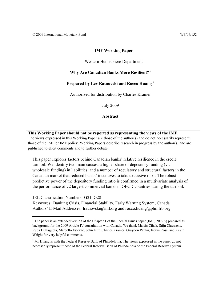# **IMF Working Paper**

#### Western Hemisphere Department

# **Why Are Canadian Banks More Resilient?** <sup>1</sup>

# **Prepared by Lev Ratnovski and Rocco Huang** <sup>2</sup>

Authorized for distribution by Charles Kramer

July 2009

**Abstract**

**This Working Paper should not be reported as representing the views of the IMF.** The views expressed in this Working Paper are those of the author(s) and do not necessarily represent those of the IMF or IMF policy. Working Papers describe research in progress by the author(s) and are published to elicit comments and to further debate.

This paper explores factors behind Canadian banks' relative resilience in the credit turmoil. We identify two main causes: a higher share of depository funding (vs. wholesale funding) in liabilities, and a number of regulatory and structural factors in the Canadian market that reduced banks' incentives to take excessive risks. The robust predictive power of the depository funding ratio is confirmed in a multivariate analysis of the performance of 72 largest commercial banks in OECD countries during the turmoil.

JEL Classification Numbers: G21, G28

 $\overline{a}$ 

Keywords: Banking Crisis, Financial Stability, Early Warning System, Canada Authors' E-Mail Addresses: lratnovski@imf.org and rocco.huang@phil.frb.org

<sup>&</sup>lt;sup>1</sup> The paper is an extended version of the Chapter 1 of the Special Issues paper (IMF, 2009A) prepared as background for the 2009 Article IV consultation with Canada. We thank Martin Cihak, Stijn Claessens, Rupa Duttagupta, Marcello Estevao, John Kiff, Charles Kramer, Graydon Paulin, Kevin Ross, and Kevin Wright for very helpful comments.

 $2^2$  Mr Huang is with the Federal Reserve Bank of Philadelphia. The views expressed in the paper do not necessarily represent those of the Federal Reserve Bank of Philadelphia or the Federal Reserve System.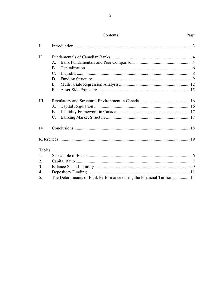| Contents                       | Page |
|--------------------------------|------|
|                                |      |
| Eundamentals of Canadian Danks |      |

 $\bar{\rm I}.$ 

Page

| $\Pi$ .                  |              |    |
|--------------------------|--------------|----|
|                          | $\mathsf{A}$ |    |
|                          | В.           |    |
|                          | C.           |    |
|                          | D.           |    |
|                          | Е.           |    |
|                          | $F_{\tau}$   |    |
| III.                     |              |    |
|                          | $A_{-}$      |    |
|                          | B.           |    |
|                          | $C_{\cdot}$  |    |
| $\overline{\text{IV}}$ . |              |    |
|                          |              |    |
| Tables                   |              |    |
| $1_{\cdot}$              |              | .6 |

| 5. The Determinants of Bank Performance during the Financial Turmoil 14 |  |
|-------------------------------------------------------------------------|--|
|                                                                         |  |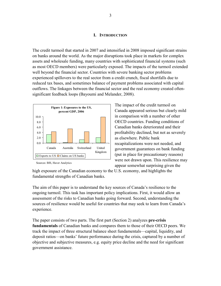#### **I. INTRODUCTION**

The credit turmoil that started in 2007 and intensified in 2008 imposed significant strains on banks around the world. As the major disruptions took place in markets for complex assets and wholesale funding, many countries with sophisticated financial systems (such as most OECD members) were particularly exposed. The impacts of the turmoil extended well beyond the financial sector. Countries with severe banking sector problems experienced spillovers to the real sector from a credit crunch, fiscal shortfalls due to reduced tax bases, and sometimes balance of payment problems associated with capital outflows. The linkages between the financial sector and the real economy created oftensignificant feedback loops (Bayoumi and Melander, 2008).



Sources: BIS, Haver Analytics

The impact of the credit turmoil on Canada appeared serious but clearly mild in comparison with a number of other OECD countries. Funding conditions of Canadian banks deteriorated and their profitability declined, but not as severely as elsewhere. Public bank recapitalizations were not needed, and government guarantees on bank funding (put in place for precautionary reasons) were not drawn upon. This resilience may appear somewhat surprising given the

high exposure of the Canadian economy to the U.S. economy, and highlights the fundamental strengths of Canadian banks.

The aim of this paper is to understand the key sources of Canada's resilience to the ongoing turmoil. This task has important policy implications. First, it would allow an assessment of the risks to Canadian banks going forward. Second, understanding the sources of resilience would be useful for countries that may seek to learn from Canada's experience.

The paper consists of two parts. The first part (Section 2) analyzes **pre-crisis fundamentals** of Canadian banks and compares them to those of their OECD peers. We track the impact of three structural balance sheet fundamentals—capital, liquidity, and deposit ratios—on banks' future performance during the crisis, captured by a number of objective and subjective measures, e.g. equity price decline and the need for significant government assistance.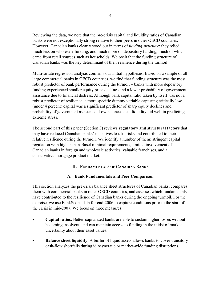Reviewing the data, we note that the pre-crisis capital and liquidity ratios of Canadian banks were not exceptionally strong relative to their peers in other OECD countries. However, Canadian banks clearly stood out in terms of *funding structure*: they relied much less on wholesale funding, and much more on depository funding, much of which came from retail sources such as households. We posit that the funding structure of Canadian banks was the key determinant of their resilience during the turmoil.

Multivariate regression analysis confirms our initial hypotheses. Based on a sample of all large commercial banks in OECD countries, we find that funding structure was the most robust predictor of bank performance during the turmoil – banks with more depository funding experienced smaller equity price declines and a lower probability of government assistance due to financial distress. Although bank capital ratio taken by itself was not a robust predictor of resilience, a more specific dummy variable capturing critically low (under 4 percent) capital was a significant predictor of sharp equity declines and probability of government assistance. Low balance sheet liquidity did well in predicting extreme stress.

The second part of this paper (Section 3) reviews **regulatory and structural factors** that may have reduced Canadian banks' incentives to take risks and contributed to their relative resilience during the turmoil. We identify a number of them: stringent capital regulation with higher-than-Basel minimal requirements, limited involvement of Canadian banks in foreign and wholesale activities, valuable franchises, and a conservative mortgage product market.

# **II. FUNDAMENTALS OF CANADIAN BANKS**

# **A. Bank Fundamentals and Peer Comparison**

This section analyzes the pre-crisis balance sheet structures of Canadian banks, compares them with commercial banks in other OECD countries, and assesses which fundamentals have contributed to the resilience of Canadian banks during the ongoing turmoil. For the exercise, we use BankScope data for end-2006 to capture conditions prior to the start of the crisis in mid-2007. We focus on three measures:

- **Capital ratios**: Better-capitalized banks are able to sustain higher losses without becoming insolvent, and can maintain access to funding in the midst of market uncertainty about their asset values.
- **Balance sheet liquidity**: A buffer of liquid assets allows banks to cover transitory cash-flow shortfalls during idiosyncratic or market-wide funding disruptions.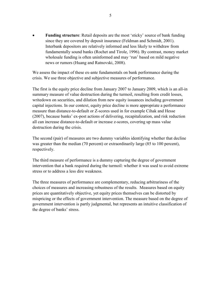**Funding structure**: Retail deposits are the most 'sticky' source of bank funding since they are covered by deposit insurance (Feldman and Schmidt, 2001). Interbank depositors are relatively informed and less likely to withdraw from fundamentally sound banks (Rochet and Tirole, 1996). By contrast, money market wholesale funding is often uninformed and may 'run' based on mild negative news or rumors (Huang and Ratnovski, 2008).

We assess the impact of these ex-ante fundamentals on bank performance during the crisis. We use three objective and subjective measures of performance.

The first is the equity price decline from January 2007 to January 2009, which is an all-in summary measure of value destruction during the turmoil, resulting from credit losses, writedown on securities, and dilution from new equity issuances including government capital injections. In our context, equity price decline is more appropriate a performance measure than distance-to-default or Z-scores used in for example Cihak and Hesse (2007), because banks' ex-post actions of delivering, recapitalization, and risk reduction all can increase distance-to-default or increase z-scores, covering up mass value destruction during the crisis.

The second (pair) of measures are two dummy variables identifying whether that decline was greater than the median (70 percent) or extraordinarily large (85 to 100 percent), respectively.

The third measure of performance is a dummy capturing the degree of government intervention that a bank required during the turmoil: whether it was used to avoid extreme stress or to address a less dire weakness.

The three measures of performance are complementary, reducing arbitrariness of the choices of measures and increasing robustness of the results. Measures based on equity prices are quantitatively objective, yet equity prices themselves can be distorted by mispricing or the effects of government intervention. The measure based on the degree of government intervention is partly judgmental, but represents an intuitive classification of the degree of banks' stress.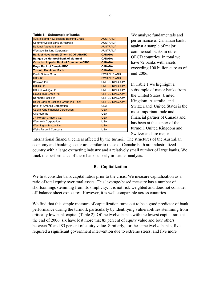|  | Table 1. Subsample of banks |  |  |
|--|-----------------------------|--|--|
|--|-----------------------------|--|--|

| Australia and New Zealand Banking Group        | <b>AUSTRALIA</b>      |
|------------------------------------------------|-----------------------|
| Commonwealth Bank of Australia                 | <b>AUSTRALIA</b>      |
| <b>National Australia Bank</b>                 | <b>AUSTRALIA</b>      |
| <b>Westpac Banking Corporation</b>             | <b>AUSTRALIA</b>      |
| <b>Bank of Nova Scotia (The) - SCOTIABANK</b>  | <b>CANADA</b>         |
| Banque de Montreal-Bank of Montreal            | <b>CANADA</b>         |
| <b>Canadian Imperial Bank of Commerce CIBC</b> | <b>CANADA</b>         |
| Royal Bank of Canada RBC                       | <b>CANADA</b>         |
| <b>Toronto Dominion Bank</b>                   | <b>CANADA</b>         |
| Credit Suisse Group                            | <b>SWITZERLAND</b>    |
| <b>UBS AG</b>                                  | <b>SWITZERLAND</b>    |
| <b>Barclays Plc</b>                            | <b>UNITED KINGDOM</b> |
| <b>HBOS PIC</b>                                | <b>UNITED KINGDOM</b> |
| <b>HSBC Holdings Plc</b>                       | <b>UNITED KINGDOM</b> |
| <b>Lloyds TSB Group Plc</b>                    | <b>UNITED KINGDOM</b> |
| Northern Rock Plc                              | <b>UNITED KINGDOM</b> |
| Royal Bank of Scotland Group Plc (The)         | <b>UNITED KINGDOM</b> |
| <b>Bank of America Corporation</b>             | <b>USA</b>            |
| <b>Capital One Financial Corporation</b>       | <b>USA</b>            |
| Citigroup Inc                                  | <b>USA</b>            |
| JP Morgan Chase & Co.                          | <b>USA</b>            |
| Wachovia Corporation                           | <b>USA</b>            |
| <b>Washington Mutual Inc.</b>                  | <b>USA</b>            |
| Wells Fargo & Company                          | <b>USA</b>            |

We analyze fundamentals and performance of Canadian banks against a sample of major commercial banks in other OECD countries. In total we have 72 banks with assets exceeding 100 billion euro as of end-2006.

In Table 1 we highlight a subsample of major banks from the United States, United Kingdom, Australia, and Switzerland. United States is the most important trade and financial partner of Canada and has been at the center of the turmoil. United Kingdom and Switzerland are major

international financial centers affected by the turmoil. The structures of the Australian economy and banking sector are similar to those of Canada: both are industrialized country with a large extracting industry and a relatively small number of large banks. We track the performance of these banks closely in further analysis.

#### **B. Capitalization**

We first consider bank capital ratios prior to the crisis. We measure capitalization as a ratio of total equity over total assets. This leverage-based measure has a number of shortcomings stemming from its simplicity: it is not risk-weighted and does not consider off-balance sheet exposures. However, it is well comparable across countries.

We find that this simple measure of capitalization turns out to be a good predictor of bank performance during the turmoil, particularly by identifying vulnerabilities stemming from critically low bank capital (Table 2). Of the twelve banks with the lowest capital ratio at the end of 2006, six have lost more that 85 percent of equity value and four others between 70 and 85 percent of equity value. Similarly, for the same twelve banks, five required a significant government intervention due to extreme stress, and five more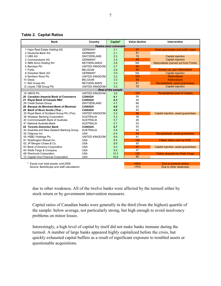#### **Table 2. Capital Ratios**

| <b>Bank</b>                                | Country                                                                                                                                                                                    | Capital*               | Value decline | Intervention                           |  |  |  |  |  |
|--------------------------------------------|--------------------------------------------------------------------------------------------------------------------------------------------------------------------------------------------|------------------------|---------------|----------------------------------------|--|--|--|--|--|
|                                            |                                                                                                                                                                                            | Twelve most vulnerable |               |                                        |  |  |  |  |  |
| 1 Hypo Real Estate Holding AG              | <b>GERMANY</b>                                                                                                                                                                             | 2.1                    | 97            | Asset guarantees and public loans      |  |  |  |  |  |
| 2 Deutsche Bank AG                         | <b>GERMANY</b>                                                                                                                                                                             | 2.1                    | 81            |                                        |  |  |  |  |  |
| 3 UBS AG                                   | SWITZERLAND                                                                                                                                                                                | 2.3                    | 79            | Capital injection                      |  |  |  |  |  |
| 4 Commerzbank AG                           | <b>GERMANY</b>                                                                                                                                                                             | 2.5                    | 89            | <b>Capital injection</b>               |  |  |  |  |  |
| 5 ABN Amro Holding NV                      | <b>NETHERLANDS</b>                                                                                                                                                                         | 2.6                    | <b>NA</b>     | Nationalized (carved out from Fortis)  |  |  |  |  |  |
| 6 Barclays Plc                             | UNITED KINGDOM                                                                                                                                                                             | 2.7                    | 85            |                                        |  |  |  |  |  |
| 7 Fortis                                   | <b>BELGIUM</b>                                                                                                                                                                             | 2.8                    | 94            | Broken up, part nationalized           |  |  |  |  |  |
| 8 Dresdner Bank AG                         | <b>GERMANY</b>                                                                                                                                                                             | 3.0                    | <b>NA</b>     | Capital injection                      |  |  |  |  |  |
| 9 Northern Rock Plc                        |                                                                                                                                                                                            | 3.2                    | 100           | <b>Nationalized</b>                    |  |  |  |  |  |
| 10 Dexia                                   | <b>BELGIUM</b>                                                                                                                                                                             | 3.3                    | 89            | <b>Nationalized</b>                    |  |  |  |  |  |
| 11 ING Groep NV                            | <b>NETHERLANDS</b>                                                                                                                                                                         | 3.3                    | 81            | Recapitalized, asset guarantees        |  |  |  |  |  |
| 12 Lloyds TSB Group Plc                    |                                                                                                                                                                                            | 3.3                    | 78            | <b>Capital injection</b>               |  |  |  |  |  |
|                                            |                                                                                                                                                                                            |                        |               |                                        |  |  |  |  |  |
| 16 HBOS Plc                                |                                                                                                                                                                                            | 3.6                    | 100           | Recapitalized (part of Lloyds)         |  |  |  |  |  |
| 20 Canadian Imperial Bank of Commerce      | <b>CANADA</b>                                                                                                                                                                              | 4.1                    | 54            |                                        |  |  |  |  |  |
| 21 Royal Bank of Canada RBC                | <b>CANADA</b>                                                                                                                                                                              | 4.3                    | 44            |                                        |  |  |  |  |  |
| 26 Credit Suisse Group                     | SWITZERLAND                                                                                                                                                                                | 4.7                    | 66            |                                        |  |  |  |  |  |
| 28 Banque de Montreal-Bank of Montreal     | <b>CANADA</b>                                                                                                                                                                              | 4.8                    | 53            |                                        |  |  |  |  |  |
| 29 Bank of Nova Scotia (The) -             | <b>CANADA</b>                                                                                                                                                                              | 4.9                    | 42            |                                        |  |  |  |  |  |
| 35 Royal Bank of Scotland Group Plc (The)  |                                                                                                                                                                                            | 5.2                    | 96            | Capital injection, asset guarantees    |  |  |  |  |  |
| 36 Westpac Banking Corporation             | <b>AUSTRALIA</b>                                                                                                                                                                           | 5.3                    | 38            |                                        |  |  |  |  |  |
| 40 Commonwealth Bank of Australia          | <b>AUSTRALIA</b>                                                                                                                                                                           | 5.7                    | 46            |                                        |  |  |  |  |  |
| 41 National Australia Bank                 | <b>AUSTRALIA</b>                                                                                                                                                                           | 5.7                    | 53            |                                        |  |  |  |  |  |
| <b>42 Toronto Dominion Bank</b>            | <b>CANADA</b>                                                                                                                                                                              | 5.7                    | 43            |                                        |  |  |  |  |  |
| 44 Australia and New Zealand Banking Group | <b>AUSTRALIA</b>                                                                                                                                                                           | 5.9                    | 54            |                                        |  |  |  |  |  |
| 50 Citigroup Inc                           | <b>USA</b>                                                                                                                                                                                 | 6.4                    | 94            | Recapitalized, asset guarantees        |  |  |  |  |  |
| 55 HSBC Holdings Plc                       |                                                                                                                                                                                            | 6.6                    | 41            |                                        |  |  |  |  |  |
| 61 Washington Mutual Inc.                  | <b>USA</b>                                                                                                                                                                                 | 8.5                    | 100           | Failed, taken over by FDIC             |  |  |  |  |  |
| 62 JP Morgan Chase & Co.                   | <b>USA</b>                                                                                                                                                                                 | 8.6                    | 50            |                                        |  |  |  |  |  |
| 63 Bank of America Corporation             | <b>USA</b>                                                                                                                                                                                 | 9.3                    | 87            | Capital injection, asset guarantees    |  |  |  |  |  |
| 64 Wells Fargo & Company                   | <b>USA</b>                                                                                                                                                                                 | 9.5                    | 47            |                                        |  |  |  |  |  |
| 68 Wachovia Corporation                    | <b>USA</b>                                                                                                                                                                                 | 10.3                   | 100           | <b>Failed, acquired by Wells Fargo</b> |  |  |  |  |  |
| 72 Capital One Financial Corporation       | <b>USA</b>                                                                                                                                                                                 | 16.9                   | 80            |                                        |  |  |  |  |  |
|                                            |                                                                                                                                                                                            |                        |               |                                        |  |  |  |  |  |
| *                                          | UNITED KINGDOM<br>UNITED KINGDOM<br><b>Rest of the sample</b><br>UNITED KINGDOM<br>UNITED KINGDOM<br>UNITED KINGDOM<br>>85%<br>Equity over total assets, end-2006<br>Due to extreme stress |                        |               |                                        |  |  |  |  |  |

Source: BankScope and staff calculations **Due to other weakness** but to the property of the state of the property of the state of the property of the state of the state of the state of the state of the state of the state o

due to other weakness. All of the twelve banks were affected by the turmoil either by stock return or by government intervention measures.

Capital ratios of Canadian banks were generally in the third (from the highest) quartile of the sample: below average, not particularly strong, but high enough to avoid insolvency problems on minor losses.

Interestingly, a high level of capital by itself did not make banks immune during the turmoil. A number of large banks appeared highly capitalized before the crisis, but quickly exhausted capital buffers as a result of significant exposure to troubled assets or questionable acquisitions.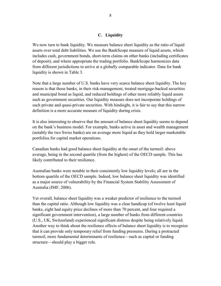# **C. Liquidity**

We now turn to bank liquidity. We measure balance sheet liquidity as the ratio of liquid assets over total debt liabilities. We use the BankScope measure of liquid assets, which includes cash, government bonds, short-term claims on other banks (including certificates of deposit), and where appropriate the trading portfolio. BankScope harmonizes data from different jurisdictions to arrive at a globally comparable indicator. Data for bank liquidity is shown in Table 3.

Note that a large number of U.S. banks have very scarce balance sheet liquidity. The key reason is that those banks, in their risk-management, treated mortgage-backed securities and municipal bond as liquid, and reduced holdings of other more reliably liquid assets such as government securities. Our liquidity measure does not incorporate holdings of such private and quasi-private securities. With hindsight, it is fair to say that this narrow definition is a more accurate measure of liquidity during crisis.

It is also interesting to observe that the amount of balance sheet liquidity seems to depend on the bank's business model. For example, banks active in asset and wealth management (notably the two Swiss banks) are on average more liquid as they hold larger marketable portfolios for capital market operations.

Canadian banks had good balance sheet liquidity at the onset of the turmoil: above average, being in the second quartile (from the highest) of the OECD sample. This has likely contributed to their resilience.

Australian banks were notable in their consistently low liquidity levels; all are in the bottom quartile of the OECD sample. Indeed, low balance sheet liquidity was identified as a major source of vulnerability by the Financial System Stability Assessment of Australia (IMF, 2006).

Yet overall, balance sheet liquidity was a weaker predictor of resilience to the turmoil than the capital ratio. Although low liquidity was a clear handicap (of twelve least liquid banks, eight had equity price declines of more than 70 percent, and four required a significant government intervention), a large number of banks from different countries (U.S., UK, Switzerland) experienced significant distress despite being relatively liquid. Another way to think about the resilience effects of balance sheet liquidity is to recognize that it can provide only temporary relief from funding pressures. During a protracted turmoil, more fundamental determinants of resilience—such as capital or funding structure—should play a bigger role.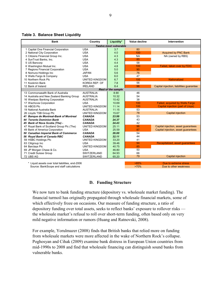**Table 3. Balance Sheet Liquidity**

| <b>Bank</b>                                | Country            | Liquidity*                    | Value decline | Intervention                             |
|--------------------------------------------|--------------------|-------------------------------|---------------|------------------------------------------|
|                                            |                    | <b>Twelve most vulnerable</b> |               |                                          |
| 1 Capital One Financial Corporation        | <b>USA</b>         | 3.7                           | 80            |                                          |
| 2 National City Corporation                | <b>USA</b>         | 4.0                           | 100           | <b>Acquired by PNC Bank</b>              |
| 3 Citizens Financial Group Inc.            | <b>USA</b>         | 4.3                           | <b>NA</b>     | NA (owned by RBS)                        |
| 4 SunTrust Banks, Inc.                     | <b>USA</b>         | 4.3                           | 85            |                                          |
| 5 US Bancorp                               | <b>USA</b>         | 4.4                           | 58            |                                          |
| 6 Washington Mutual Inc.                   | <b>USA</b>         | 4.8                           | 100           | Failed, taken over by FDIC               |
| 7 Regions Financial Corporation            | <b>USA</b>         | 5.0                           | 90            |                                          |
| 8 Nomura Holdings Inc                      | <b>JAPAN</b>       | 5.6                           | 76            |                                          |
| 9 Wells Fargo & Company                    | <b>USA</b>         | 6.0                           | 47            |                                          |
| 10 Northern Rock Plc                       | UNITED KINGDOM     | 6.7                           | 100           | <b>Nationalized</b>                      |
| 11 Kookmin Bank                            | KOREA REP. OF      | 7.8                           | 56            |                                          |
| 12 Bank of Ireland                         | <b>IRELAND</b>     | 8.4                           | 96            | Capital injection, liabilities guarantee |
|                                            |                    | <b>Rest of the sample</b>     |               |                                          |
| 13 Commonwealth Bank of Australia          | <b>AUSTRALIA</b>   | 8.90                          | 46            |                                          |
| 14 Australia and New Zealand Banking Group | <b>AUSTRALIA</b>   | 10.32                         | 54            |                                          |
| 16 Westpac Banking Corporation             | <b>AUSTRALIA</b>   | 10.42                         | 38            |                                          |
| 17 Wachovia Corporation                    | <b>USA</b>         | 10.69                         | 100           | <b>Failed, acquired by Wells Fargo</b>   |
| 18 HBOS Plc                                | UNITED KINGDOM     | 11.14                         | 100           | <b>Capital injection (part of Lloys)</b> |
| 19 National Australia Bank                 | <b>AUSTRALIA</b>   | 11.15                         | 53            |                                          |
| 26 Lloyds TSB Group Plc                    | UNITED KINGDOM     | 15.67                         | 78            | <b>Capital injection</b>                 |
| 41 Banque de Montreal-Bank of Montreal     | <b>CANADA</b>      | 23.99                         | 53            |                                          |
| <b>44 Toronto Dominion Bank</b>            | <b>CANADA</b>      | 24.37                         | 43            |                                          |
| 45 Bank of Nova Scotia (The) -             | <b>CANADA</b>      | 24.43                         | 42            |                                          |
| 47 Royal Bank of Scotland Group Plc (The)  | UNITED KINGDOM     | 25.11                         | 96            | Capital injection, asset guarantees      |
| 49 Bank of America Corporation             | <b>USA</b>         | 25.59                         | 87            | Capital injection, asset guarantees      |
| 50 Canadian Imperial Bank of Commerce      | <b>CANADA</b>      | 26.00                         | 54            |                                          |
| 56 Royal Bank of Canada RBC                | <b>CANADA</b>      | 32.11                         | 44            |                                          |
| 59 HSBC Holdings Plc                       | UNITED KINGDOM     | 33.20                         | 41            |                                          |
| 63 Citigroup Inc                           | <b>USA</b>         | 39.46                         | 94            | Recapitalized, asset guarantees          |
| 64 Barclays Plc                            | UNITED KINGDOM     | 40.75                         | 85            |                                          |
| 69 JP Morgan Chase & Co.                   | <b>USA</b>         | 46.80                         | 50            |                                          |
| 71 Credit Suisse Group                     | <b>SWITZERLAND</b> | 64.93                         | 66            |                                          |
| 72 UBS AG                                  | SWITZERLAND        | 65.20                         | 79            | <b>Capital injection</b>                 |
|                                            |                    |                               |               |                                          |

\* Liquid assets over total liabilities, end-2006 **August 2006 Buenos 1998 Due to extreme stress Due to extreme stress** 

Source: BankScope and staff calculations **Due to other weakness business Due to other weakness** 

**D. Funding Structure** 

We now turn to bank funding structure (depository vs. wholesale market funding). The financial turmoil has originally propagated through wholesale financial markets, some of which effectively froze on occasions. Our measure of funding structure, a ratio of depository funding over total assets, seeks to reflect banks' exposure to rollover risks the wholesale market's refusal to roll over short-term funding, often based only on very mild negative information or rumors (Huang and Ratnovski, 2008).

For example, Yorulmazer (2008) finds that British banks that relied more on funding from wholesale markets were more affected in the wake of Northern Rock's collapse. Poghosyan and Cihak (2009) examine bank distress in European Union countries from mid-1990s to 2008 and find that wholesale financing can distinguish sound banks from vulnerable banks.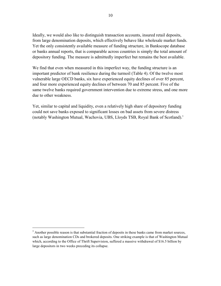Ideally, we would also like to distinguish transaction accounts, insured retail deposits, from large denomination deposits, which effectively behave like wholesale market funds. Yet the only consistently available measure of funding structure, in Bankscope database or banks annual reports, that is comparable across countries is simply the total amount of depository funding. The measure is admittedly imperfect but remains the best available.

We find that even when measured in this imperfect way, the funding structure is an important predictor of bank resilience during the turmoil (Table 4). Of the twelve most vulnerable large OECD banks, six have experienced equity declines of over 85 percent, and four more experienced equity declines of between 70 and 85 percent. Five of the same twelve banks required government intervention due to extreme stress, and one more due to other weakness.

Yet, similar to capital and liquidity, even a relatively high share of depository funding could not save banks exposed to significant losses on bad assets from severe distress (notably Washington Mutual, Wachovia, UBS, Lloyds TSB, Royal Bank of Scotland).3

 $\overline{a}$ 

 $3$  Another possible reason is that substantial fraction of deposits in these banks came from market sources, such as large denomination CDs and brokered deposits. One striking example is that of Washington Mutual which, according to the Office of Thrift Supervision, suffered a massive withdrawal of \$16.5 billion by large depositors in two weeks preceding its collapse.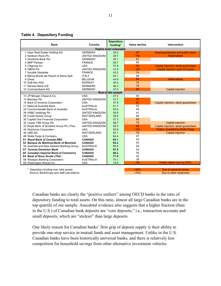**Table 4. Depository Funding**

|                                            |                               | <b>Depository</b>         |               |                                     |
|--------------------------------------------|-------------------------------|---------------------------|---------------|-------------------------------------|
| <b>Bank</b>                                | Country                       | funding*                  | Value decline | Intervention                        |
|                                            | <b>Twelve most vulnerable</b> |                           |               |                                     |
| 1 Hypo Real Estate Holding AG              | <b>GERMANY</b>                | 24.0                      | 97            | Asset guarantees and public loans   |
| 2 Northern Rock Plc                        | UNITED KINGDOM                | 28.7                      | 100           | <b>Nationalized</b>                 |
| 3 Deutsche Bank AG                         | <b>GERMANY</b>                | 34.1                      | 81            |                                     |
| 4 BNP Paribas                              | <b>FRANCE</b>                 | 36.7                      | 65            |                                     |
| 5 Citigroup Inc                            | <b>USA</b>                    | 37.8                      | 94            | Capital injection, asset guarantees |
| 6 HBOS Plc                                 | UNITED KINGDOM                | 41.0                      | 100           | Capital injection (part of Lloyds)  |
| 7 Société Générale                         | <b>FRANCE</b>                 | 42.0                      | 74            |                                     |
| 8 Banca Monte dei Paschi di Siena SpA      | <b>ITALY</b>                  | 44.1                      | 68            |                                     |
| 9 Dexia                                    | <b>BELGIUM</b>                | 44.9                      | 89            | <b>Nationalized</b>                 |
| 10 DnB Nor ASA                             | <b>NORWAY</b>                 | 45.4                      | 74            |                                     |
| 11 Danske Bank A/S                         | <b>DENMARK</b>                | 46.3                      | 78            |                                     |
| 12 Commerzbank AG                          | <b>GERMANY</b>                | 47.0                      | 89            | <b>Capital injection</b>            |
|                                            |                               | <b>Rest of the sample</b> |               |                                     |
| 13 JP Morgan Chase & Co.                   | <b>USA</b>                    | 47.3                      | 50            |                                     |
| 14 Barclays Plc                            | UNITED KINGDOM                | 47.7                      | 85            |                                     |
| 15 Bank of America Corporation             | <b>USA</b>                    | 47.9                      | 87            | Capital injection, asset guarantees |
| 21 National Australia Bank                 | <b>AUSTRALIA</b>              | 51.7                      | 53            |                                     |
| 24 Commonwealth Bank of Australia          | <b>AUSTRALIA</b>              | 53.4                      | 46            |                                     |
| 26 HSBC Holdings Plc                       | UNITED KINGDOM                | 54.9                      | 41            |                                     |
| 28 Credit Suisse Group                     | SWITZERLAND                   | 55.6                      | 66            |                                     |
| 30 Capital One Financial Corporation       | <b>USA</b>                    | 57.3                      | 80            |                                     |
| 32 Lloyds TSB Group Plc                    | UNITED KINGDOM                | 58.7                      | 78            | <b>Capital injection</b>            |
| 33 Royal Bank of Scotland Group Plc (The)  | UNITED KINGDOM                | 59.3                      | 96            | Capital injection, asset guarantees |
| 44 Wachovia Corporation                    | <b>USA</b>                    | 62.8                      | 100           | Failed, acquired by Wells Fargo     |
| 46 UBS AG                                  | SWITZERLAND                   | 64.1                      | 79            | <b>Capital injection</b>            |
| 48 Wells Fargo & Company                   | <b>USA</b>                    | 64.4                      | 47            |                                     |
| 51 Royal Bank of Canada RBC                | <b>CANADA</b>                 | 65.1                      | 44            |                                     |
| 52 Banque de Montreal-Bank of Montreal     | <b>CANADA</b>                 | 65.2                      | 53            |                                     |
| 54 Australia and New Zealand Banking Group | <b>AUSTRALIA</b>              | 65.4                      | 54            |                                     |
| <b>57 Toronto Dominion Bank</b>            | <b>CANADA</b>                 | 67.9                      | 43            |                                     |
| 60 Canadian Imperial Bank of Commerce      | <b>CANADA</b>                 | 68.2                      | 54            |                                     |
| 64 Bank of Nova Scotia (The) -             | <b>CANADA</b>                 | 71.4                      | 42            |                                     |
| 68 Westpac Banking Corporation             | <b>AUSTRALIA</b>              | 74.1                      | 38            |                                     |
| 69 Washington Mutual Inc.                  | <b>USA</b>                    | 74.6                      | 100           | Failed, taken over by FDIC          |
|                                            |                               |                           |               |                                     |
| * Depository funding over total assets     |                               |                           | >85%          | Due to extreme stress               |

Source: BankScope and staff calculations >70% Due to other weakness

Canadian banks are clearly the "positive outliers" among OECD banks in the ratio of depository funding to total assets. On this ratio, almost all large Canadian banks are in the top quartile of our sample. Anecdotal evidence also suggests that a higher fraction (than in the U.S.) of Canadian bank deposits are "core deposits," i.e., transaction accounts and small deposits, which are "stickier" than large deposits.

One likely reason for Canadian banks' firm grip of deposit supply is their ability to provide one-stop service in mutual funds and asset management. Unlike in the U.S. Canadian banks have been historically universal banks, and there is relatively less competition for household savings from other alternative investment vehicles.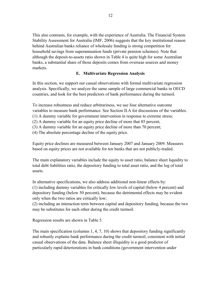This also contrasts, for example, with the experience of Australia. The Financial System Stability Assessment for Australia (IMF, 2006) suggests that the key institutional reason behind Australian banks reliance of wholesale funding is strong competition for household savings from superannuation funds (private pension schemes). Note that although the deposit-to-assets ratio shown in Table 4 is quite high for some Australian banks, a substantial share of those deposits comes from overseas sources and money markets.

# **E. Multivariate Regression Analysis**

In this section, we support our casual observations with formal multivariate regression analysis. Specifically, we analyze the same sample of large commercial banks in OECD countries, and look for the best predictors of bank performance during the turmoil.

To increase robustness and reduce arbitrariness, we use four alternative outcome variables to measure bank performance. See Section II.A for discussions of the variables. (1) A dummy variable for government intervention in response to extreme stress; (2) A dummy variable for an equity price decline of more that 85 percent; (3) A dummy variable for an equity price decline of more than 70 percent; (4) The absolute percentage decline of the equity price.

Equity price declines are measured between January 2007 and January 2009. Measures based on equity prices are not available for ten banks that are not publicly-traded.

The main explanatory variables include the equity to asset ratio, balance sheet liquidity to total debt liabilities ratio, the depository funding to total asset ratio, and the log of total assets.

In alternative specifications, we also address additional non-linear effects by: (1) including dummy variables for critically low levels of capital (below 4 percent) and depository funding (below 50 percent), because the detrimental effects may be evident only when the two ratios are critically low;

(2) including an interaction term between capital and depository funding, because the two may be substitutes for each other during the credit turmoil.

Regression results are shown in Table 5.

The main specification (columns  $1, 4, 7, 10$ ) shows that depository funding significantly and robustly explains bank performance during the credit turmoil, consistent with initial casual observations of the data. Balance sheet illiquidity is a good predictor of particularly rapid deteriorations in bank conditions (government intervention under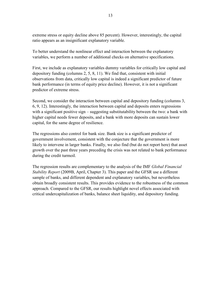extreme stress or equity decline above 85 percent). However, interestingly, the capital ratio appears as an insignificant explanatory variable.

To better understand the nonlinear effect and interaction between the explanatory variables, we perform a number of additional checks on alternative specifications.

First, we include as explanatory variables dummy variables for critically low capital and depository funding (columns 2, 5, 8, 11). We find that, consistent with initial observations from data, critically low capital is indeed a significant predictor of future bank performance (in terms of equity price decline). However, it is not a significant predictor of extreme stress.

Second, we consider the interaction between capital and depository funding (columns 3, 6, 9, 12). Interestingly, the interaction between capital and deposits enters regressions with a significant positive sign – suggesting substitutability between the two: a bank with higher capital needs fewer deposits, and a bank with more deposits can sustain lower capital, for the same degree of resilience.

The regressions also control for bank size. Bank size is a significant predictor of government involvement, consistent with the conjecture that the government is more likely to intervene in larger banks. Finally, we also find (but do not report here) that asset growth over the past three years preceding the crisis was not related to bank performance during the credit turmoil.

The regression results are complementary to the analysis of the IMF *Global Financial Stability Report* (2009B, April, Chapter 3). This paper and the GFSR use a different sample of banks, and different dependent and explanatory variables, but nevertheless obtain broadly consistent results. This provides evidence to the robustness of the common approach. Compared to the GFSR, our results highlight novel effects associated with critical undercapitalization of banks, balance sheet liquidity, and depository funding.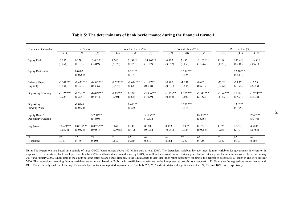|                                      |                         |                         |                         |                        |                        |                        |                       |                       | Table 5: The determinants of bank performance during the financial turmoil |                        |                       |                        |
|--------------------------------------|-------------------------|-------------------------|-------------------------|------------------------|------------------------|------------------------|-----------------------|-----------------------|----------------------------------------------------------------------------|------------------------|-----------------------|------------------------|
| Dependent Variable:                  | <b>Extreme Stress</b>   |                         | Price Decline >85%      |                        | Price decline>70%      |                        | Price decline (%)     |                       |                                                                            |                        |                       |                        |
|                                      | (1)                     | (2)                     | (3)                     | (4)                    | $\overline{(5)}$       | (6)                    | (7)                   | (8)                   | (9)                                                                        | (10)                   | (11)                  | (12)                   |
| <b>Equity Ratio</b>                  | $-0.182$<br>(0.454)     | 0.259<br>(0.187)        | $-3.042***$<br>(3.419)  | 1.240<br>(2.025)       | 3.580**<br>(1.221)     | $-31.80***$<br>(10.02) | $-0.907$<br>(3.692)   | 3.685<br>(3.053)      | $-51.03***$<br>(18.96)                                                     | 11.88<br>(122.8)       | 190.6**<br>(85.48)    | $-1448***$<br>(366.1)  |
| Equity Ratio<4%                      |                         | 0.0802<br>(0.0988)      |                         |                        | $0.361**$<br>(0.183)   |                        |                       | $0.558***$<br>(0.125) |                                                                            |                        | $22.20***$<br>(4.511) |                        |
| <b>Balance Sheet</b><br>Liquidity    | $-0.541***$<br>(0.431)  | $-0.425***$<br>(0.377)  | $-0.382***$<br>(0.336)  | $-1.527***$<br>(0.576) | $-1.694***$<br>(0.631) | $-1.187**$<br>(0.538)  | $-0.890$<br>(0.611)   | $-1.151$<br>(0.835)   | $-0.402$<br>(0.601)                                                        | $-33.20$<br>(24.64)    | $-25.77$<br>(21.94)   | $-17.73$<br>(22.43)    |
| Depository Funding                   | $-0.326***$<br>(0.224)  | $-0.281**$<br>(0.204)   | $-0.479***$<br>(0.447)  | $-1.133**$<br>(0.401)  | 0.536<br>(0.629)       | $-3.836***$<br>(1.029) | $-1.156**$<br>(0.492) | $1.776***$<br>(0.600) | $-5.543***$<br>(2.152)                                                     | $-51.68***$<br>(17.59) | 17.66<br>(17.91)      | $-167.9***$<br>(36.38) |
| Depository<br>Funding<50%            |                         | $-0.0148$<br>(0.0224)   |                         |                        | $0.473**$<br>(0.228)   |                        |                       | $0.576***$<br>(0.116) |                                                                            |                        | $13.07**$<br>(4.775)  |                        |
| Equity Ratio *<br>Depository Funding |                         |                         | $5.208***$<br>(5.480)   |                        |                        | 58.15***<br>(17.33)    |                       |                       | $87.43***$<br>(33.46)                                                      |                        |                       | 2545***<br>(597.0)     |
| Log (Asset)                          | $0.0629***$<br>(0.0574) | $0.0517***$<br>(0.0526) | $0.0529***$<br>(0.0516) | 0.142<br>(0.0938)      | 0.142<br>(0.106)       | 0.168<br>(0.105)       | 0.123<br>(0.0916)     | 0.0937<br>(0.124)     | 0.135<br>(0.0953)                                                          | 4.025<br>(2.664)       | 2.353<br>(2.707)      | 4.988*<br>(2.785)      |
| $\overline{N}$<br>R-squared          | 72<br>0.393             | 72<br>0.435             | 72<br>0.450             | 62<br>0.139            | 62<br>0.240            | 62<br>0.233            | 62<br>0.084           | 62<br>0.282           | 62<br>0.170                                                                | 62<br>0.147            | 62<br>0.323           | 62<br>0.269            |

Note: The regressions are based on a sample of large OECD banks (assets above 100 billion euro at end-2006). The dependent variables include three dummy variables for government intervention in response to extreme stress,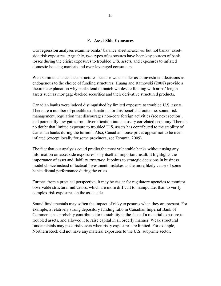## **F. Asset-Side Exposures**

Our regression analyses examine banks' balance sheet *structures* but not banks' assetside risk exposures. Arguably, two types of exposures have been key sources of bank losses during the crisis: exposures to troubled U.S. assets, and exposures to inflated domestic housing markets and over-leveraged consumers.

We examine balance sheet structures because we consider asset investment decisions as endogenous to the choice of funding structures. Huang and Ratnovski (2008) provide a theoretic explanation why banks tend to match wholesale funding with arms' length assets such as mortgage-backed securities and their derivative structured products.

Canadian banks were indeed distinguished by limited exposure to troubled U.S. assets. There are a number of possible explanations for this beneficial outcome: sound riskmanagement, regulation that discourages non-core foreign activities (see next section), and potentially low gains from diversification into a closely correlated economy. There is no doubt that limited exposure to troubled U.S. assets has contributed to the stability of Canadian banks during the turmoil. Also, Canadian house prices appear not to be overinflated (except locally for some provinces, see Tsounta, 2009).

The fact that our analysis could predict the most vulnerable banks without using any information on asset side exposures is by itself an important result. It highlights the importance of asset and liability *structure*. It points to strategic decisions in business model choice instead of tactical investment mistakes as the more likely cause of some banks dismal performance during the crisis.

Further, from a practical perspective, it may be easier for regulatory agencies to monitor observable structural indicators, which are more difficult to manipulate, than to verify complex risk exposures on the asset side.

Sound fundamentals may soften the impact of risky exposures when they are present. For example, a relatively strong depository funding ratio in Canadian Imperial Bank of Commerce has probably contributed to its stability in the face of a material exposure to troubled assets, and allowed it to raise capital in an orderly manner. Weak structural fundamentals may pose risks even when risky exposures are limited. For example, Northern Rock did not have any material exposures to the U.S. subprime sector.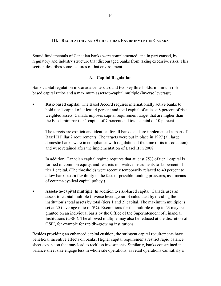# **III. REGULATORY AND STRUCTURAL ENVIRONMENT IN CANADA**

Sound fundamentals of Canadian banks were complemented, and in part caused, by regulatory and industry structure that discouraged banks from taking excessive risks. This section describes some features of that environment.

# **A. Capital Regulation**

Bank capital regulation in Canada centers around two key thresholds: minimum riskbased capital ratios and a maximum assets-to-capital multiple (inverse leverage).

• **Risk-based capital**. The Basel Accord requires internationally active banks to hold tier 1 capital of at least 4 percent and total capital of at least 8 percent of riskweighted assets. Canada imposes capital requirement target that are higher than the Basel minima: tier 1 capital of 7 percent and total capital of 10 percent.

The targets are explicit and identical for all banks, and are implemented as part of Basel II Pillar 2 requirements. The targets were put in place in 1997 (all large domestic banks were in compliance with regulation at the time of its introduction) and were retained after the implementation of Basel II in 2008.

In addition, Canadian capital regime requires that at least 75% of tier 1 capital is formed of common equity, and restricts innovative instruments to 15 percent of tier 1 capital. (The thresholds were recently temporarily relaxed to 40 percent to allow banks extra flexibility in the face of possible funding pressures, as a means of counter-cyclical capital policy.)

• **Assets-to-capital multiple**. In addition to risk-based capital, Canada uses an assets-to-capital multiple (inverse leverage ratio) calculated by dividing the institution's total assets by total (tiers 1 and 2) capital. The maximum multiple is set at 20 (leverage ratio of 5%). Exemptions for the multiple of up to 23 may be granted on an individual basis by the Office of the Superintendent of Financial Institutions (OSFI). The allowed multiple may also be reduced at the discretion of OSFI, for example for rapidly-growing institutions.

Besides providing an enhanced capital cushion, the stringent capital requirements have beneficial incentive effects on banks. Higher capital requirements restrict rapid balance sheet expansion that may lead to reckless investments. Similarly, banks constrained in balance sheet size engage less in wholesale operations, as retail operations can satisfy a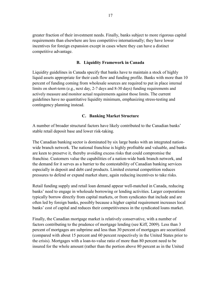greater fraction of their investment needs. Finally, banks subject to more rigorous capital requirements than elsewhere are less competitive internationally; they have lower incentives for foreign expansion except in cases where they can have a distinct competitive advantage.

# **B. Liquidity Framework in Canada**

Liquidity guidelines in Canada specify that banks have to maintain a stock of highly liquid assets appropriate for their cash flow and funding profile. Banks with more than 10 percent of funding coming from wholesale sources are required to put in place internal limits on short-term (e.g., next day, 2-7 days and 8-30 days) funding requirements and actively measure and monitor actual requirements against those limits. The current guidelines have no quantitative liquidity minimum, emphasizing stress-testing and contingency planning instead.

## **C. Banking Market Structure**

A number of broader structural factors have likely contributed to the Canadian banks' stable retail deposit base and lower risk-taking.

The Canadian banking sector is dominated by six large banks with an integrated nationwide branch network. The national franchise is highly profitable and valuable, and banks are keen to preserve it, thereby avoiding excess risks that could compromise the franchise. Customers value the capabilities of a nation-wide bank branch network, and the demand for it serves as a barrier to the contestability of Canadian banking services especially in deposit and debt card products. Limited external competition reduces pressures to defend or expand market share, again reducing incentives to take risks.

Retail funding supply and retail loan demand appear well-matched in Canada, reducing banks' need to engage in wholesale borrowing or lending activities. Larger corporations typically borrow directly from capital markets, or from syndicates that include and are often led by foreign banks, possibly because a higher capital requirement increases local banks' cost of capital and reduces their competitiveness in the syndicated loans market.

Finally, the Canadian mortgage market is relatively conservative, with a number of factors contributing to the prudence of mortgage lending (see Kiff, 2009). Less than 3 percent of mortgages are subprime and less than 30 percent of mortgages are securitized (compared with about 15 percent and 60 percent respectively in the United States prior to the crisis). Mortgages with a loan-to-value ratio of more than 80 percent need to be insured for the whole amount (rather than the portion above 80 percent as in the United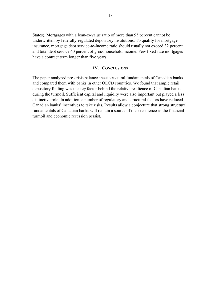States). Mortgages with a loan-to-value ratio of more than 95 percent cannot be underwritten by federally-regulated depository institutions. To qualify for mortgage insurance, mortgage debt service-to-income ratio should usually not exceed 32 percent and total debt service 40 percent of gross household income. Few fixed-rate mortgages have a contract term longer than five years.

#### **IV. CONCLUSIONS**

The paper analyzed pre-crisis balance sheet structural fundamentals of Canadian banks and compared them with banks in other OECD countries. We found that ample retail depository finding was the key factor behind the relative resilience of Canadian banks during the turmoil. Sufficient capital and liquidity were also important but played a less distinctive role. In addition, a number of regulatory and structural factors have reduced Canadian banks' incentives to take risks. Results allow a conjecture that strong structural fundamentals of Canadian banks will remain a source of their resilience as the financial turmoil and economic recession persist.